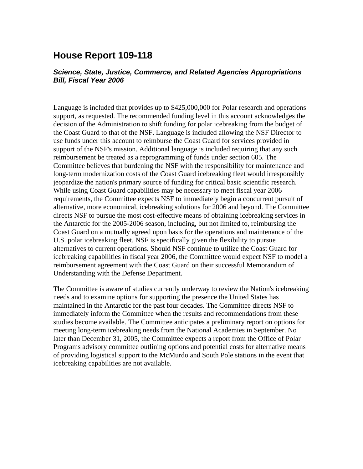## **House Report 109-118**

## *Science, State, Justice, Commerce, and Related Agencies Appropriations Bill, Fiscal Year 2006*

Language is included that provides up to \$425,000,000 for Polar research and operations support, as requested. The recommended funding level in this account acknowledges the decision of the Administration to shift funding for polar icebreaking from the budget of the Coast Guard to that of the NSF. Language is included allowing the NSF Director to use funds under this account to reimburse the Coast Guard for services provided in support of the NSF's mission. Additional language is included requiring that any such reimbursement be treated as a reprogramming of funds under section 605. The Committee believes that burdening the NSF with the responsibility for maintenance and long-term modernization costs of the Coast Guard icebreaking fleet would irresponsibly jeopardize the nation's primary source of funding for critical basic scientific research. While using Coast Guard capabilities may be necessary to meet fiscal year 2006 requirements, the Committee expects NSF to immediately begin a concurrent pursuit of alternative, more economical, icebreaking solutions for 2006 and beyond. The Committee directs NSF to pursue the most cost-effective means of obtaining icebreaking services in the Antarctic for the 2005-2006 season, including, but not limited to, reimbursing the Coast Guard on a mutually agreed upon basis for the operations and maintenance of the U.S. polar icebreaking fleet. NSF is specifically given the flexibility to pursue alternatives to current operations. Should NSF continue to utilize the Coast Guard for icebreaking capabilities in fiscal year 2006, the Committee would expect NSF to model a reimbursement agreement with the Coast Guard on their successful Memorandum of Understanding with the Defense Department.

The Committee is aware of studies currently underway to review the Nation's icebreaking needs and to examine options for supporting the presence the United States has maintained in the Antarctic for the past four decades. The Committee directs NSF to immediately inform the Committee when the results and recommendations from these studies become available. The Committee anticipates a preliminary report on options for meeting long-term icebreaking needs from the National Academies in September. No later than December 31, 2005, the Committee expects a report from the Office of Polar Programs advisory committee outlining options and potential costs for alternative means of providing logistical support to the McMurdo and South Pole stations in the event that icebreaking capabilities are not available.